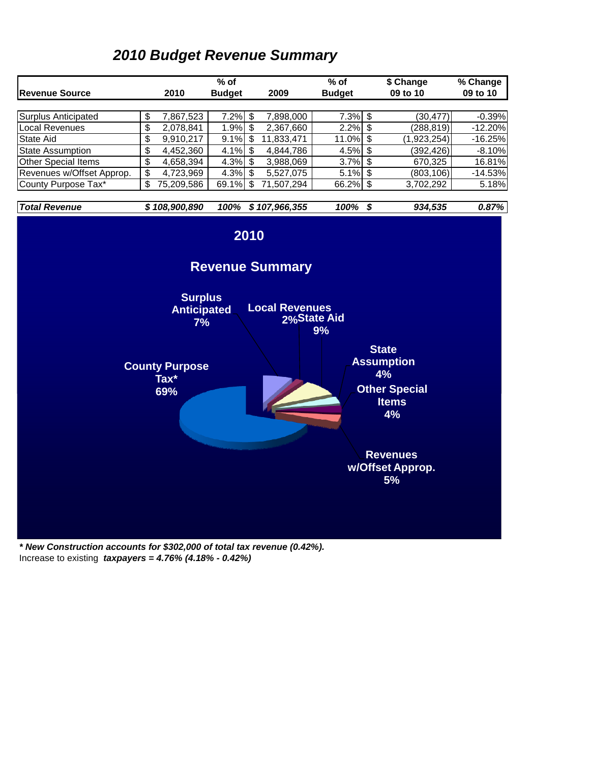### *2010 Budget Revenue Summary*



*\* New Construction accounts for \$302,000 of total tax revenue (0.42%).*  Increase to existing *taxpayers = 4.76% (4.18% - 0.42%)*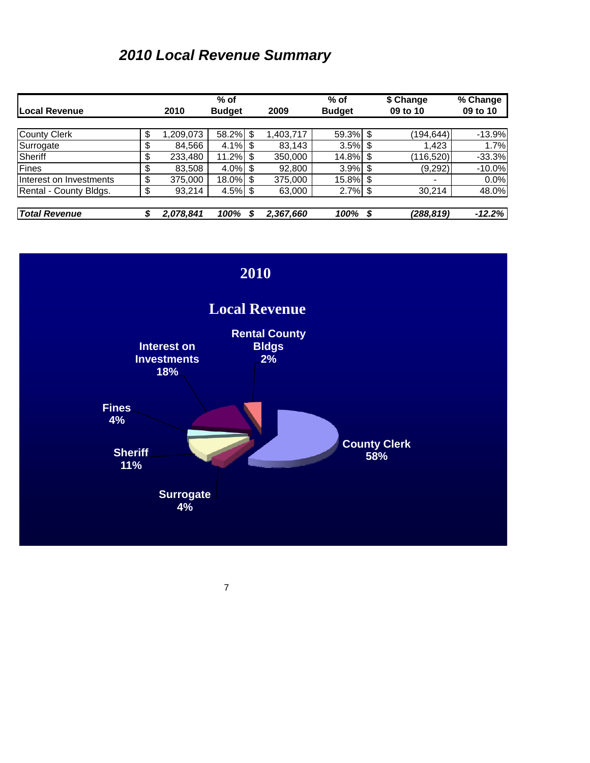# *2010 Local Revenue Summary*

|                         |                | $%$ of        |           | $%$ of        |      | \$ Change                | % Change |
|-------------------------|----------------|---------------|-----------|---------------|------|--------------------------|----------|
| Local Revenue           | 2010           | <b>Budget</b> | 2009      | <b>Budget</b> |      | 09 to 10                 | 09 to 10 |
|                         |                |               |           |               |      |                          |          |
| <b>County Clerk</b>     | \$<br>,209,073 | 58.2% \$      | ,403,717  | 59.3% \$      |      | (194, 644)               | $-13.9%$ |
| Surrogate               | \$<br>84.566   | $4.1\%$ \$    | 83,143    | $3.5\%$ \$    |      | 1,423                    | 1.7%     |
| Sheriff                 | \$<br>233,480  | $11.2\%$ \$   | 350,000   | 14.8% \$      |      | (116,520)                | $-33.3%$ |
| Fines                   | \$<br>83,508   | $4.0\%$ \$    | 92,800    | $3.9\%$ \$    |      | (9,292)                  | $-10.0%$ |
| Interest on Investments | \$<br>375,000  | 18.0% \$      | 375,000   | 15.8% \$      |      | $\overline{\phantom{0}}$ | 0.0%     |
| Rental - County Bldgs.  | \$<br>93,214   | $4.5\%$ \$    | 63,000    | $2.7\%$ \$    |      | 30,214                   | 48.0%    |
|                         |                |               |           |               |      |                          |          |
| <b>Total Revenue</b>    | 2,078,841      | 100%          | 2,367,660 | 100%          | - \$ | (288,819)                | $-12.2%$ |

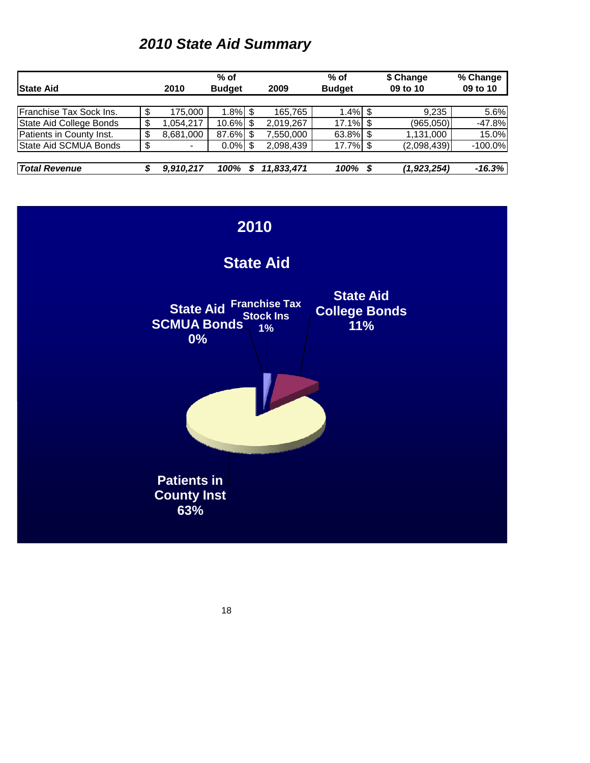# *2010 State Aid Summary*

|                          |                               |                          | $%$ of     |               |            | % of        |          | \$ Change   | % Change  |
|--------------------------|-------------------------------|--------------------------|------------|---------------|------------|-------------|----------|-------------|-----------|
| <b>State Aid</b>         | <b>Budget</b><br>2010<br>2009 |                          |            | <b>Budget</b> |            | 09 to 10    | 09 to 10 |             |           |
|                          |                               |                          |            |               |            |             |          |             |           |
| Franchise Tax Sock Ins.  |                               | 175.000                  | $1.8\%$ \$ |               | 165.765    | $1.4\%$ \$  |          | 9.235       | 5.6%      |
| State Aid College Bonds  |                               | .054.217                 | 10.6% \$   |               | 2,019,267  | $17.1\%$ \$ |          | (965,050)   | $-47.8%$  |
| Patients in County Inst. |                               | 8,681,000                | 87.6% \$   |               | ,550,000   | 63.8% \$    |          | 1,131,000   | 15.0%     |
| State Aid SCMUA Bonds    |                               | $\overline{\phantom{a}}$ | $0.0\%$ \$ |               | 2,098,439  | 17.7% \$    |          | (2,098,439) | $-100.0%$ |
|                          |                               |                          |            |               |            |             |          |             |           |
| <b>Total Revenue</b>     |                               | 9.910.217                | 100%       |               | 11,833,471 | 100%        | - S      | (1,923,254) | $-16.3\%$ |

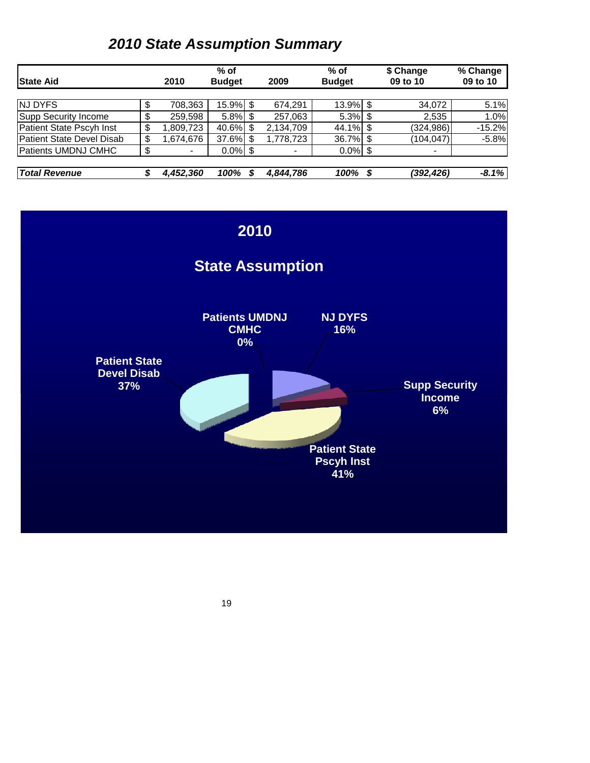# *2010 State Assumption Summary*

|                                  |                                | $%$ of        |                | $%$ of        |      | \$ Change                | % Change |
|----------------------------------|--------------------------------|---------------|----------------|---------------|------|--------------------------|----------|
| <b>State Aid</b>                 | 2010                           | <b>Budget</b> | 2009           | <b>Budget</b> |      | 09 to 10                 | 09 to 10 |
|                                  |                                |               |                |               |      |                          |          |
| <b>NJ DYFS</b>                   | 708,363                        | 15.9% \$      | 674,291        | $13.9\%$ \$   |      | 34,072                   | 5.1%     |
| Supp Security Income             | 259,598                        | $5.8\%$ \$    | 257,063        | $5.3\%$ \$    |      | 2,535                    | 1.0%     |
| Patient State Pscyh Inst         | \$<br>,809,723                 | 40.6% \$      | 2,134,709      | $44.1\%$ \$   |      | (324, 986)               | $-15.2%$ |
| <b>Patient State Devel Disab</b> | \$<br>.674,676 ا               | 37.6% \$      | 1,778,723      | 36.7% \$      |      | (104,047)                | $-5.8%$  |
| <b>Patients UMDNJ CMHC</b>       | \$<br>$\overline{\phantom{a}}$ | $0.0\%$ \$    | $\blacksquare$ | $0.0\%$ \$    |      | $\overline{\phantom{a}}$ |          |
|                                  |                                |               |                |               |      |                          |          |
| <b>Total Revenue</b>             | 4,452,360                      | 100%          | 4,844,786      | 100%          | - \$ | (392,426)                | $-8.1%$  |

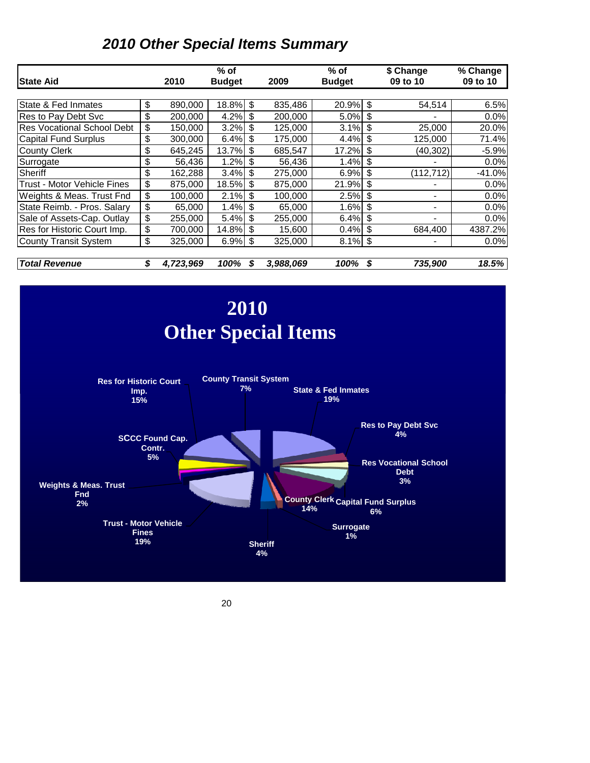## *2010 Other Special Items Summary*

|                                   |                 | $%$ of        |   |           | $%$ of        |      | \$ Change                | % Change |
|-----------------------------------|-----------------|---------------|---|-----------|---------------|------|--------------------------|----------|
| <b>State Aid</b>                  | 2010            | <b>Budget</b> |   | 2009      | <b>Budget</b> |      | 09 to 10                 | 09 to 10 |
|                                   |                 |               |   |           |               |      |                          |          |
| State & Fed Inmates               | \$<br>890,000   | 18.8% \$      |   | 835,486   | $20.9\%$ \$   |      | 54,514                   | 6.5%     |
| Res to Pay Debt Svc               | \$<br>200,000   | $4.2\%$ \$    |   | 200,000   | $5.0\%$ \$    |      |                          | 0.0%     |
| <b>Res Vocational School Debt</b> | \$<br>150,000   | $3.2\%$ \$    |   | 125,000   | $3.1\%$ \$    |      | 25,000                   | 20.0%    |
| <b>Capital Fund Surplus</b>       | \$<br>300,000   | $6.4\%$ \$    |   | 175,000   | $4.4\%$ \$    |      | 125,000                  | 71.4%    |
| <b>County Clerk</b>               | \$<br>645,245   | 13.7% \$      |   | 685,547   | 17.2%         | l \$ | (40, 302)                | $-5.9%$  |
| Surrogate                         | \$<br>56,436    | $1.2\%$ \$    |   | 56,436    | $1.4\%$ \$    |      |                          | 0.0%     |
| Sheriff                           | \$<br>162,288   | $3.4\%$ \$    |   | 275,000   | $6.9\%$ \$    |      | (112, 712)               | $-41.0%$ |
| Trust - Motor Vehicle Fines       | \$<br>875,000   | 18.5% \$      |   | 875,000   | $21.9\%$ \$   |      |                          | 0.0%     |
| Weights & Meas. Trust Fnd         | \$<br>100,000   | $2.1\%$ \$    |   | 100,000   | $2.5\%$ \$    |      |                          | 0.0%     |
| State Reimb. - Pros. Salary       | \$<br>65,000    | $1.4\%$ \$    |   | 65,000    | $1.6\%$ \$    |      |                          | 0.0%     |
| Sale of Assets-Cap. Outlay        | \$<br>255,000   | 5.4% \$       |   | 255,000   | $6.4\%$ \$    |      |                          | 0.0%     |
| Res for Historic Court Imp.       | \$<br>700,000   | 14.8% \$      |   | 15,600    | $0.4\%$ \$    |      | 684,400                  | 4387.2%  |
| <b>County Transit System</b>      | \$<br>325,000   | $6.9\%$ \$    |   | 325,000   | $8.1\%$ \$    |      | $\overline{\phantom{a}}$ | 0.0%     |
| <b>Total Revenue</b>              | \$<br>4,723,969 | 100%          | S | 3.988.069 | 100%          | \$   | 735,900                  | 18.5%    |

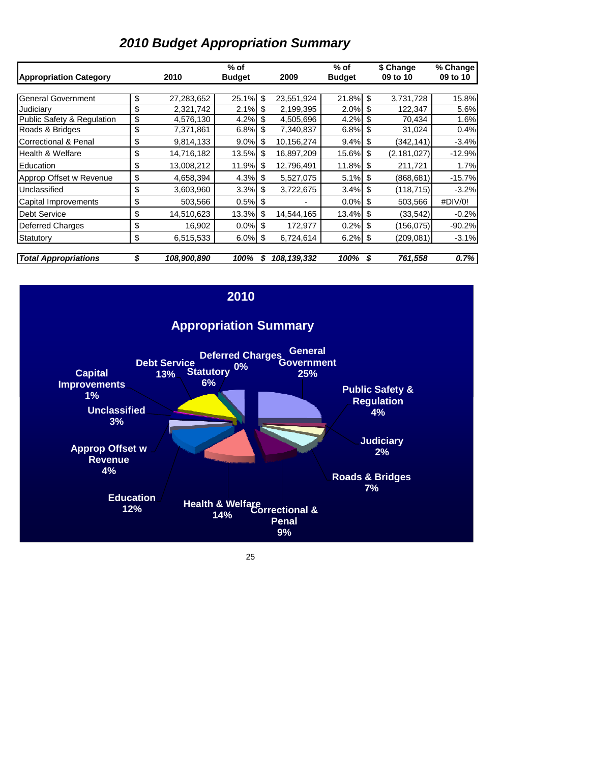### *2010 Budget Appropriation Summary*

| <b>Appropriation Category</b>   | 2010              | $%$ of<br><b>Budget</b> |     | 2009                   | $%$ of<br><b>Budget</b> |      | \$ Change<br>09 to 10 | % Change<br>09 to 10 |
|---------------------------------|-------------------|-------------------------|-----|------------------------|-------------------------|------|-----------------------|----------------------|
|                                 |                   |                         |     |                        |                         |      |                       |                      |
| <b>General Government</b>       | \$<br>27,283,652  | 25.1%                   | \$  | 23,551,924             | 21.8%                   | \$   | 3,731,728             | 15.8%                |
| Judiciary                       | \$<br>2,321,742   | 2.1%                    | \$  | $\overline{2,}199,395$ | 2.0%                    | \$   | 122,347               | 5.6%                 |
| Public Safety & Regulation      | \$<br>4,576,130   | 4.2%                    | -\$ | 4,505,696              | 4.2%                    | \$   | 70,434                | 1.6%                 |
| Roads & Bridges                 | \$<br>7,371,861   | 6.8%                    | \$  | 7,340,837              | 6.8%                    | \$   | 31,024                | 0.4%                 |
| <b>Correctional &amp; Penal</b> | \$<br>9,814,133   | 9.0%                    | \$  | 10,156,274             | 9.4%                    | \$   | (342, 141)            | $-3.4%$              |
| <b>Health &amp; Welfare</b>     | \$<br>14,716,182  | 13.5%                   | \$  | 16,897,209             | 15.6%                   | \$   | (2, 181, 027)         | $-12.9%$             |
| Education                       | \$<br>13,008,212  | 11.9%                   | \$  | 12,796,491             | 11.8%                   | \$   | 211,721               | 1.7%                 |
| Approp Offset w Revenue         | \$<br>4,658,394   | 4.3%                    | \$  | 5,527,075              | 5.1%                    | \$   | (868, 681)            | $-15.7%$             |
| Unclassified                    | \$<br>3,603,960   | 3.3%                    | \$  | 3,722,675              | 3.4%                    | \$   | (118, 715)            | $-3.2%$              |
| Capital Improvements            | \$<br>503,566     | $0.5\%$ \$              |     |                        | 0.0%                    | \$   | 503,566               | #DIV/0!              |
| <b>Debt Service</b>             | \$<br>14,510,623  | 13.3%                   | \$  | 14,544,165             | 13.4%                   | \$   | (33, 542)             | $-0.2%$              |
| <b>Deferred Charges</b>         | \$<br>16,902      | $0.0\%$ \$              |     | 172,977                | 0.2%                    | \$   | (156, 075)            | $-90.2%$             |
| Statutory                       | \$<br>6,515,533   | $6.0\%$ \$              |     | 6,724,614              | 6.2%                    | - \$ | (209, 081)            | $-3.1%$              |
| <b>Total Appropriations</b>     | \$<br>108,900,890 | 100%                    |     | 108, 139, 332          | 100%                    | S    | 761,558               | 0.7%                 |

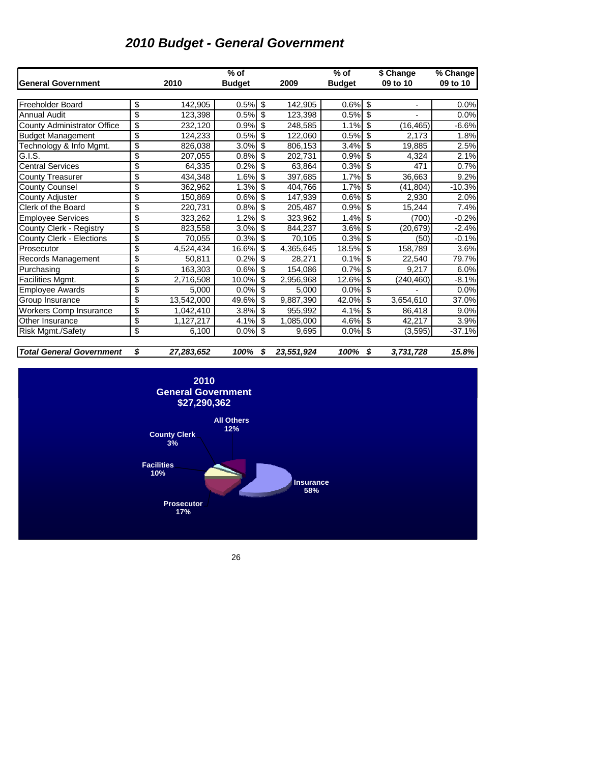## *2010 Budget - General Government*

|                                    |                  | $%$ of        |                  | $%$ of        |    | $\sqrt{$}$ Change | % Change |
|------------------------------------|------------------|---------------|------------------|---------------|----|-------------------|----------|
| <b>General Government</b>          | 2010             | <b>Budget</b> | 2009             | <b>Budget</b> |    | 09 to 10          | 09 to 10 |
|                                    |                  |               |                  |               |    |                   |          |
| <b>Freeholder Board</b>            | \$<br>142,905    | 0.5%          | \$<br>142,905    | 0.6%          | \$ |                   | 0.0%     |
| <b>Annual Audit</b>                | \$<br>123,398    | 0.5%          | \$<br>123,398    | 0.5%          | \$ |                   | 0.0%     |
| <b>County Administrator Office</b> | \$<br>232.120    | 0.9%          | \$<br>248.585    | 1.1%          | \$ | (16, 465)         | $-6.6%$  |
| <b>Budget Management</b>           | \$<br>124,233    | 0.5%          | \$<br>122,060    | 0.5%          | \$ | 2,173             | 1.8%     |
| Technology & Info Mgmt.            | \$<br>826,038    | 3.0%          | \$<br>806,153    | 3.4%          | \$ | 19,885            | 2.5%     |
| G.I.S.                             | \$<br>207,055    | 0.8%          | \$<br>202,731    | 0.9%          | \$ | 4,324             | 2.1%     |
| <b>Central Services</b>            | \$<br>64,335     | 0.2%          | \$<br>63.864     | 0.3%          | \$ | 471               | 0.7%     |
| <b>County Treasurer</b>            | \$<br>434,348    | 1.6%          | \$<br>397,685    | 1.7%          | \$ | 36,663            | 9.2%     |
| County Counsel                     | \$<br>362,962    | 1.3%          | \$<br>404,766    | 1.7%          | \$ | (41,804)          | $-10.3%$ |
| County Adjuster                    | \$<br>150,869    | 0.6%          | \$<br>147.939    | 0.6%          | \$ | 2,930             | 2.0%     |
| Clerk of the Board                 | \$<br>220.731    | 0.8%          | \$<br>205.487    | 0.9%          | \$ | 15,244            | 7.4%     |
| <b>Employee Services</b>           | \$<br>323,262    | 1.2%          | \$<br>323,962    | 1.4%          | \$ | (700)             | $-0.2%$  |
| County Clerk - Registry            | \$<br>823,558    | 3.0%          | \$<br>844.237    | 3.6%          | \$ | (20, 679)         | $-2.4%$  |
| County Clerk - Elections           | \$<br>70,055     | 0.3%          | \$<br>70.105     | 0.3%          | \$ | (50)              | $-0.1%$  |
| Prosecutor                         | \$<br>4,524,434  | 16.6%         | \$<br>4,365,645  | 18.5%         | \$ | 158,789           | 3.6%     |
| Records Management                 | \$<br>50,811     | 0.2%          | \$<br>28,271     | 0.1%          | \$ | 22,540            | 79.7%    |
| Purchasing                         | \$<br>163,303    | 0.6%          | \$<br>154,086    | 0.7%          | \$ | 9.217             | 6.0%     |
| Facilities Mgmt.                   | \$<br>2,716,508  | 10.0%         | \$<br>2,956,968  | 12.6%         | \$ | (240, 460)        | $-8.1%$  |
| <b>Employee Awards</b>             | \$<br>5,000      | 0.0%          | \$<br>5.000      | 0.0%          | \$ |                   | 0.0%     |
| Group Insurance                    | \$<br>13,542,000 | 49.6%         | \$<br>9,887,390  | 42.0%         | \$ | 3,654,610         | 37.0%    |
| <b>Workers Comp Insurance</b>      | \$<br>1,042,410  | 3.8%          | \$<br>955,992    | 4.1%          | \$ | 86,418            | 9.0%     |
| Other Insurance                    | \$<br>1,127,217  | 4.1%          | \$<br>1,085,000  | 4.6%          | \$ | 42,217            | 3.9%     |
| <b>Risk Mgmt./Safety</b>           | \$<br>6,100      | 0.0%          | \$<br>9,695      | 0.0%          | \$ | (3,595)           | $-37.1%$ |
|                                    |                  |               |                  |               |    |                   |          |
| <b>Total General Government</b>    | \$<br>27,283,652 | 100%          | \$<br>23,551,924 | 100%          | S  | 3,731,728         | 15.8%    |

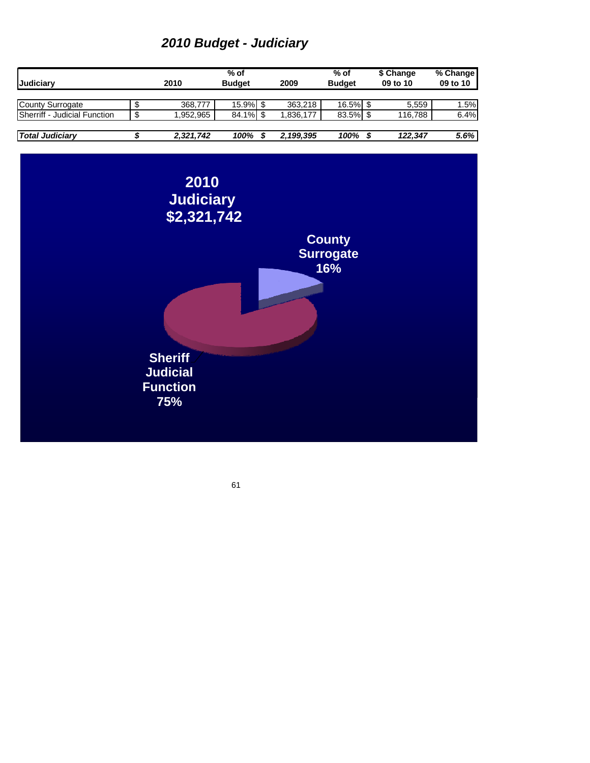# *2010 Budget - Judiciary*

| <b>Judiciarv</b>                     | 2010      | $%$ of<br><b>Budget</b> | 2009      | $%$ of<br><b>Budget</b> | \$ Change<br>09 to 10 | % Change<br>09 to 10 |
|--------------------------------------|-----------|-------------------------|-----------|-------------------------|-----------------------|----------------------|
|                                      |           |                         |           |                         |                       |                      |
| County Surrogate                     | 368.777   | $15.9\%$ \$             | 363.218   | $16.5\%$ \$             | 5,559                 | 1.5%                 |
| <b>ISherriff - Judicial Function</b> | 1.952.965 | 84.1% \$                | 1.836.177 | $83.5\%$ \$             | 116,788               | 6.4%                 |
|                                      |           |                         |           |                         |                       |                      |
| <b>Total Judiciary</b>               | 2,321,742 | 100%                    | 2,199,395 | 100%                    | 122.347               | 5.6%                 |

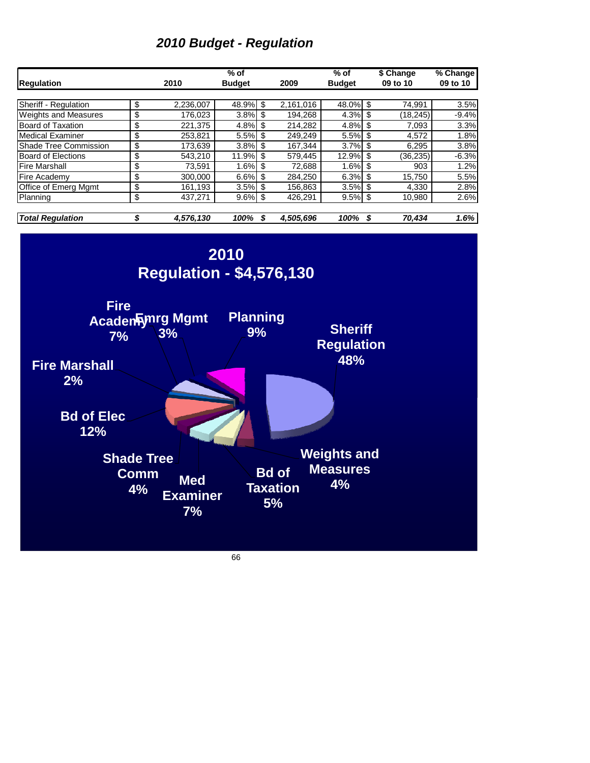# *2010 Budget - Regulation*

| Sheriff - Regulation<br>\$<br>2,236,007<br>48.9%<br>\$<br>2,161,016<br>48.0%<br>74,991<br>\$<br>\$<br><b>Weights and Measures</b><br>3.8%<br>\$<br>194,268<br>4.3%<br>$\overline{\$}$<br>(18, 245)<br>176,023<br>\$<br>$\overline{\$}$<br><b>Board of Taxation</b><br>\$<br>4.8%<br>221,375<br>4.8%<br>214,282<br>7,093<br>\$<br>5.5%<br>$\overline{\theta}$<br><b>Medical Examiner</b><br>253,821<br>\$<br>249,249<br>5.5%<br>4,572<br>$\overline{\$}$<br>$\overline{\$}$<br>Shade Tree Commission<br>173,639<br>3.8%<br>167,344<br>3.7%<br>6,295<br>\$<br>\$<br>12.9%<br>$\overline{\mathcal{E}}$<br><b>Board of Elections</b><br>543,210<br>11.9%<br>\$<br>579,445<br>(36, 235)<br>\$<br>$\overline{\mathbf{s}}$<br><b>Fire Marshall</b><br>73,591<br>1.6%<br>\$<br>72,688<br>1.6%<br>903<br>$\overline{\$}$<br>$\overline{\mathcal{S}}$<br>15,750<br>6.6%<br>\$<br>284,250<br>6.3%<br>Fire Academy<br>300,000<br>\$<br>Office of Emerg Mgmt<br>\$<br>161,193<br>3.5%<br>\$<br>156,863<br>3.5%<br>4,330<br>\$<br>\$<br>\$<br>426,291<br>9.5%<br>Planning<br>437,271<br>9.6%<br>10,980<br><b>Total Regulation</b><br>\$<br>4,576,130<br>100%<br>\$<br>4,505,696<br>100%<br>\$<br>70,434<br>2010<br><b>Regulation - \$4,576,130</b><br><b>Fire</b><br><b>Planning</b><br>Acaden Fynrg Mgmt<br><b>Sheriff</b><br>9%<br>3%<br>7%<br><b>Regulation</b><br>48%<br><b>Fire Marshall</b><br>2%<br><b>Bd of Elec</b><br>12%<br><b>Weights and</b><br><b>Shade Tree</b><br><b>Measures</b><br><b>Bd of</b><br><b>Comm</b><br><b>Med</b><br>4%<br><b>Taxation</b><br>4%<br><b>Examiner</b><br>5%<br>7% | <b>Regulation</b> | 2010 | $%$ of<br><b>Budget</b> | 2009 | $%$ of<br><b>Budget</b> | \$ Change<br>09 to 10 | % Change<br>09 to 10 |
|------------------------------------------------------------------------------------------------------------------------------------------------------------------------------------------------------------------------------------------------------------------------------------------------------------------------------------------------------------------------------------------------------------------------------------------------------------------------------------------------------------------------------------------------------------------------------------------------------------------------------------------------------------------------------------------------------------------------------------------------------------------------------------------------------------------------------------------------------------------------------------------------------------------------------------------------------------------------------------------------------------------------------------------------------------------------------------------------------------------------------------------------------------------------------------------------------------------------------------------------------------------------------------------------------------------------------------------------------------------------------------------------------------------------------------------------------------------------------------------------------------------------------------------------------------------------------------------------|-------------------|------|-------------------------|------|-------------------------|-----------------------|----------------------|
|                                                                                                                                                                                                                                                                                                                                                                                                                                                                                                                                                                                                                                                                                                                                                                                                                                                                                                                                                                                                                                                                                                                                                                                                                                                                                                                                                                                                                                                                                                                                                                                                |                   |      |                         |      |                         |                       |                      |
|                                                                                                                                                                                                                                                                                                                                                                                                                                                                                                                                                                                                                                                                                                                                                                                                                                                                                                                                                                                                                                                                                                                                                                                                                                                                                                                                                                                                                                                                                                                                                                                                |                   |      |                         |      |                         |                       | 3.5%                 |
|                                                                                                                                                                                                                                                                                                                                                                                                                                                                                                                                                                                                                                                                                                                                                                                                                                                                                                                                                                                                                                                                                                                                                                                                                                                                                                                                                                                                                                                                                                                                                                                                |                   |      |                         |      |                         |                       | $-9.4%$              |
|                                                                                                                                                                                                                                                                                                                                                                                                                                                                                                                                                                                                                                                                                                                                                                                                                                                                                                                                                                                                                                                                                                                                                                                                                                                                                                                                                                                                                                                                                                                                                                                                |                   |      |                         |      |                         |                       | 3.3%                 |
|                                                                                                                                                                                                                                                                                                                                                                                                                                                                                                                                                                                                                                                                                                                                                                                                                                                                                                                                                                                                                                                                                                                                                                                                                                                                                                                                                                                                                                                                                                                                                                                                |                   |      |                         |      |                         |                       | 1.8%                 |
|                                                                                                                                                                                                                                                                                                                                                                                                                                                                                                                                                                                                                                                                                                                                                                                                                                                                                                                                                                                                                                                                                                                                                                                                                                                                                                                                                                                                                                                                                                                                                                                                |                   |      |                         |      |                         |                       | 3.8%                 |
|                                                                                                                                                                                                                                                                                                                                                                                                                                                                                                                                                                                                                                                                                                                                                                                                                                                                                                                                                                                                                                                                                                                                                                                                                                                                                                                                                                                                                                                                                                                                                                                                |                   |      |                         |      |                         |                       | $-6.3%$              |
|                                                                                                                                                                                                                                                                                                                                                                                                                                                                                                                                                                                                                                                                                                                                                                                                                                                                                                                                                                                                                                                                                                                                                                                                                                                                                                                                                                                                                                                                                                                                                                                                |                   |      |                         |      |                         |                       | 1.2%                 |
|                                                                                                                                                                                                                                                                                                                                                                                                                                                                                                                                                                                                                                                                                                                                                                                                                                                                                                                                                                                                                                                                                                                                                                                                                                                                                                                                                                                                                                                                                                                                                                                                |                   |      |                         |      |                         |                       | 5.5%                 |
|                                                                                                                                                                                                                                                                                                                                                                                                                                                                                                                                                                                                                                                                                                                                                                                                                                                                                                                                                                                                                                                                                                                                                                                                                                                                                                                                                                                                                                                                                                                                                                                                |                   |      |                         |      |                         |                       | 2.8%                 |
|                                                                                                                                                                                                                                                                                                                                                                                                                                                                                                                                                                                                                                                                                                                                                                                                                                                                                                                                                                                                                                                                                                                                                                                                                                                                                                                                                                                                                                                                                                                                                                                                |                   |      |                         |      |                         |                       | 2.6%                 |
|                                                                                                                                                                                                                                                                                                                                                                                                                                                                                                                                                                                                                                                                                                                                                                                                                                                                                                                                                                                                                                                                                                                                                                                                                                                                                                                                                                                                                                                                                                                                                                                                |                   |      |                         |      |                         |                       | 1.6%                 |
|                                                                                                                                                                                                                                                                                                                                                                                                                                                                                                                                                                                                                                                                                                                                                                                                                                                                                                                                                                                                                                                                                                                                                                                                                                                                                                                                                                                                                                                                                                                                                                                                |                   |      |                         |      |                         |                       |                      |
|                                                                                                                                                                                                                                                                                                                                                                                                                                                                                                                                                                                                                                                                                                                                                                                                                                                                                                                                                                                                                                                                                                                                                                                                                                                                                                                                                                                                                                                                                                                                                                                                |                   |      |                         |      |                         |                       |                      |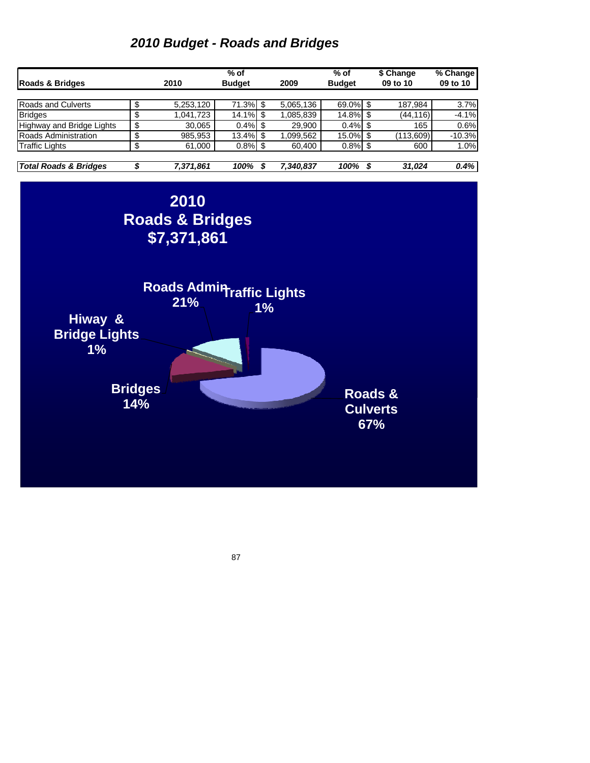#### *2010 Budget - Roads and Bridges*

|                           |   |           | $%$ of        |   |           | $%$ of        |   | \$ Change     | % Change |
|---------------------------|---|-----------|---------------|---|-----------|---------------|---|---------------|----------|
| Roads & Bridges           |   | 2010      | <b>Budget</b> |   | 2009      | <b>Budget</b> |   | 09 to 10      | 09 to 10 |
|                           |   |           |               |   |           |               |   |               |          |
| Roads and Culverts        |   | 5,253,120 | $71.3\%$ \$   |   | 5,065,136 | 69.0% \$      |   | 187,984       | 3.7%     |
| <b>Bridges</b>            | S | 1.041.723 | $14.1\%$ \$   |   | 1,085,839 | 14.8% \$      |   | (44,116)      | $-4.1%$  |
| Highway and Bridge Lights |   | 30,065    | $0.4\%$ \$    |   | 29,900    | 0.4%          |   | 165           | 0.6%     |
| Roads Administration      | σ | 985,953   | 13.4% \$      |   | 1,099,562 | 15.0% \$      |   | (113,609)     | $-10.3%$ |
| <b>Traffic Lights</b>     | S | 61,000    | $0.8\%$ \$    |   | 60,400    | $0.8\%$ \$    |   | 600           | 1.0%     |
|                           |   |           |               |   |           |               |   |               |          |
| Total Boards & Builderson | œ | 7.974.004 | 0.001         | œ | 7.210.027 | $\Delta$      | o | <b>24.024</b> | 0.401    |

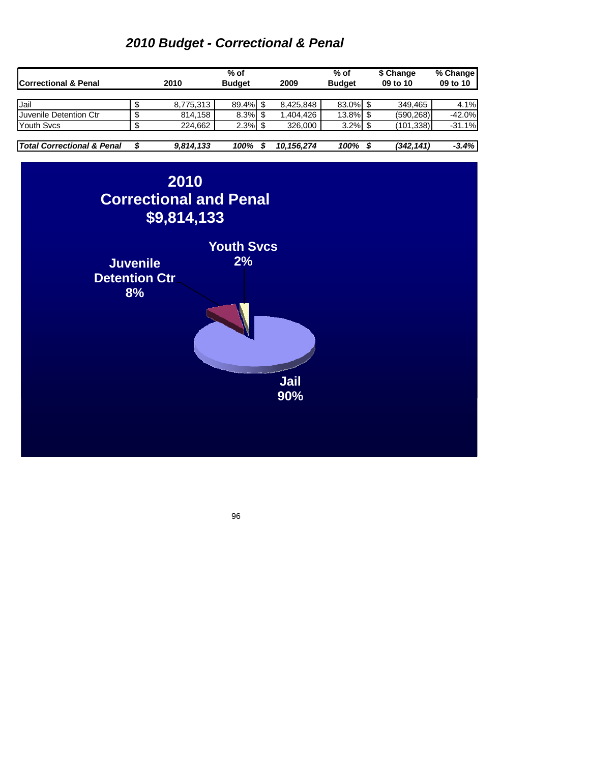## *2010 Budget - Correctional & Penal*

| <b>Correctional &amp; Penal</b>       | 2010      | % of<br><b>Budget</b> | 2009       | $%$ of<br><b>Budget</b> | \$ Change<br>09 to 10 | % Change<br>09 to 10 |
|---------------------------------------|-----------|-----------------------|------------|-------------------------|-----------------------|----------------------|
|                                       |           |                       |            |                         |                       |                      |
| Jail                                  | 8,775,313 | 89.4% \$              | 8,425,848  | 83.0% \$                | 349.465               | 4.1%                 |
| <b>Juvenile Detention Ctr</b>         | 814,158   |                       | 1,404,426  | 13.8% \$                | (590,268)             | $-42.0%$             |
| <b>Youth Svcs</b>                     | 224.662   | $2.3\%$ \$            | 326,000    | 3.2%                    | (101,338)             | $-31.1%$             |
|                                       |           |                       |            |                         |                       |                      |
| <b>Total Correctional &amp; Penal</b> | 9,814,133 | 100%                  | 10.156.274 | 100%                    | (342,141)             | $-3.4%$              |

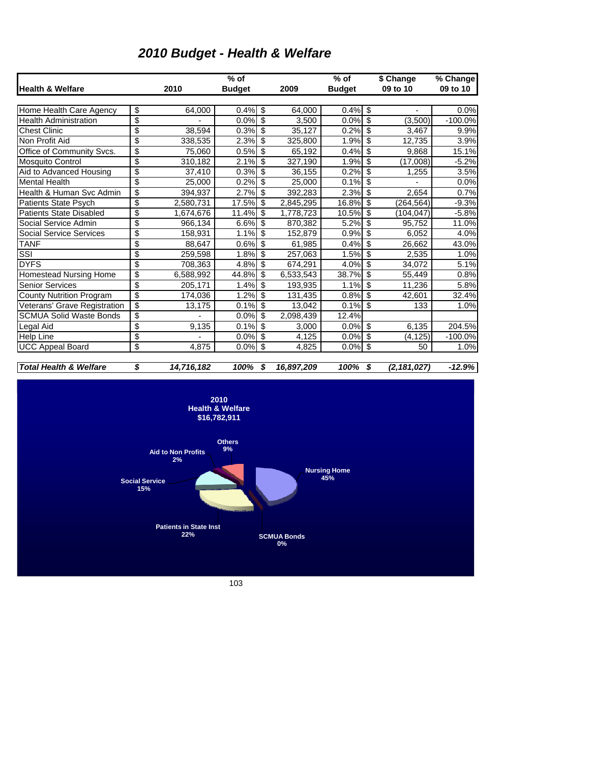| <b>Health &amp; Welfare</b>       |                              | 2010                            | $%$ of<br><b>Budget</b>                                              | 2009       | $%$ of<br><b>Budget</b>                  | \$ Change<br>09 to 10 | % Change<br>09 to 10 |
|-----------------------------------|------------------------------|---------------------------------|----------------------------------------------------------------------|------------|------------------------------------------|-----------------------|----------------------|
|                                   |                              |                                 |                                                                      |            |                                          |                       |                      |
| Home Health Care Agency           | \$                           | 64,000                          | 0.4%<br>\$                                                           | 64,000     | 0.4%<br>\$                               |                       | 0.0%                 |
| <b>Health Administration</b>      | \$                           |                                 | $0.0\%$ \$                                                           | 3,500      | $\overline{\mathcal{L}}$<br>0.0%         | (3,500)               | $-100.0%$            |
| <b>Chest Clinic</b>               | $\overline{\$}$              | 38,594                          | $\overline{\mathcal{L}}$<br>0.3%                                     | 35,127     | $\overline{\$}$<br>0.2%                  | 3.467                 | 9.9%                 |
| Non Profit Aid                    | \$                           | 338,535                         | $\overline{\$}$<br>2.3%                                              | 325,800    | $\overline{\mathcal{S}}$<br>1.9%         | 12,735                | 3.9%                 |
| Office of Community Svcs.         | \$                           | 75,060                          | 0.5%<br>$\boldsymbol{\mathsf{S}}$                                    | 65,192     | $\overline{\mathbf{s}}$<br>0.4%          | 9,868                 | 15.1%                |
| <b>Mosquito Control</b>           | \$                           | 310,182                         | 2.1%<br>\$                                                           | 327,190    | $\overline{\$}$<br>1.9%                  | (17,008)              | $-5.2%$              |
| Aid to Advanced Housing           | \$                           | 37,410                          | 0.3%<br>\$                                                           | 36,155     | $\overline{\mathbf{s}}$<br>0.2%          | 1,255                 | 3.5%                 |
| <b>Mental Health</b>              | \$                           | 25,000                          | $\overline{\$}$<br>0.2%                                              | 25,000     | $\overline{\$}$<br>0.1%                  |                       | 0.0%                 |
| Health & Human Svc Admin          | \$                           | 394,937                         | $\overline{\$}$<br>2.7%                                              | 392,283    | $\overline{\$}$<br>2.3%                  | 2,654                 | 0.7%                 |
| <b>Patients State Psych</b>       | \$                           | 2,580,731                       | 17.5%<br>\$                                                          | 2,845,295  | $\overline{\$}$<br>16.8%                 | (264, 564)            | $-9.3%$              |
| <b>Patients State Disabled</b>    | \$                           | 1,674,676                       | \$<br>11.4%                                                          | 1,778,723  | $\mathsf{\$}$<br>10.5%                   | (104, 047)            | $-5.8%$              |
| Social Service Admin              | \$                           | 966,134                         | 6.6%<br>\$                                                           | 870,382    | $\overline{\mathcal{E}}$<br>5.2%         | 95,752                | 11.0%                |
| Social Service Services           | \$                           | 158,931                         | 1.1%<br>\$                                                           | 152,879    | $\overline{\boldsymbol{\theta}}$<br>0.9% | 6,052                 | 4.0%                 |
| <b>TANF</b>                       | \$                           | 88,647                          | $\overline{\$}$<br>0.6%                                              | 61,985     | $\overline{\mathfrak{s}}$<br>0.4%        | 26,662                | 43.0%                |
| $\overline{\text{SSI}}$           | \$                           | 259,598                         | $\overline{\$}$<br>1.8%                                              | 257,063    | $\overline{\mathfrak{s}}$<br>1.5%        | 2,535                 | 1.0%                 |
| <b>DYFS</b>                       | \$                           | 708,363                         | 4.8%<br>$\overline{\mathbf{3}}$                                      | 674,291    | $\overline{\$}$<br>4.0%                  | 34,072                | 5.1%                 |
| Homestead Nursing Home            | \$                           | 6,588,992                       | $\overline{\mathbf{S}}$<br>44.8%                                     | 6,533,543  | 38.7%<br>$\overline{\mathbf{s}}$         | 55,449                | 0.8%                 |
| <b>Senior Services</b>            | \$                           | 205,171                         | 1.4%<br>\$                                                           | 193,935    | $\overline{\$}$<br>1.1%                  | 11,236                | 5.8%                 |
| <b>County Nutrition Program</b>   | \$                           | 174,036                         | $\overline{\mathbf{s}}$<br>1.2%                                      | 131,435    | $\overline{\mathbf{s}}$<br>0.8%          | 42,601                | 32.4%                |
| Veterans' Grave Registration      | \$                           | 13,175                          | 0.1%<br>$\overline{\$}$                                              | 13,042     | $\overline{\$}$<br>0.1%                  | 133                   | 1.0%                 |
| <b>SCMUA Solid Waste Bonds</b>    | \$                           |                                 | $\overline{\mathbf{S}}$<br>0.0%                                      | 2,098,439  | 12.4%                                    |                       |                      |
| Legal Aid                         | \$                           | 9,135                           | $0.1\%$ \$                                                           | 3,000      | $\overline{\mathbf{s}}$<br>0.0%          | 6,135                 | 204.5%               |
| <b>Help Line</b>                  | \$                           |                                 | $0.0\%$ \$                                                           | 4,125      | 0.0%<br>\$                               | (4, 125)              | $-100.0%$            |
| <b>UCC Appeal Board</b>           | \$                           | 4,875                           | \$<br>0.0%                                                           | 4,825      | \$<br>0.0%                               | 50                    | 1.0%                 |
| <b>Total Health &amp; Welfare</b> | \$                           | 14,716,182                      | 100%<br>\$                                                           | 16,897,209 | 100%<br>\$                               | (2, 181, 027)         | $-12.9%$             |
|                                   |                              |                                 | 2010<br><b>Health &amp; Welfare</b><br>\$16,782,911<br><b>Others</b> |            |                                          |                       |                      |
|                                   | <b>Social Service</b><br>15% | <b>Aid to Non Profits</b><br>2% | 9%                                                                   |            | <b>Nursing Home</b><br>45%               |                       |                      |

# *2010 Budget - Health & Welfare*

103

**Patients in State Inst 22%**

**SCMUA Bonds 0%**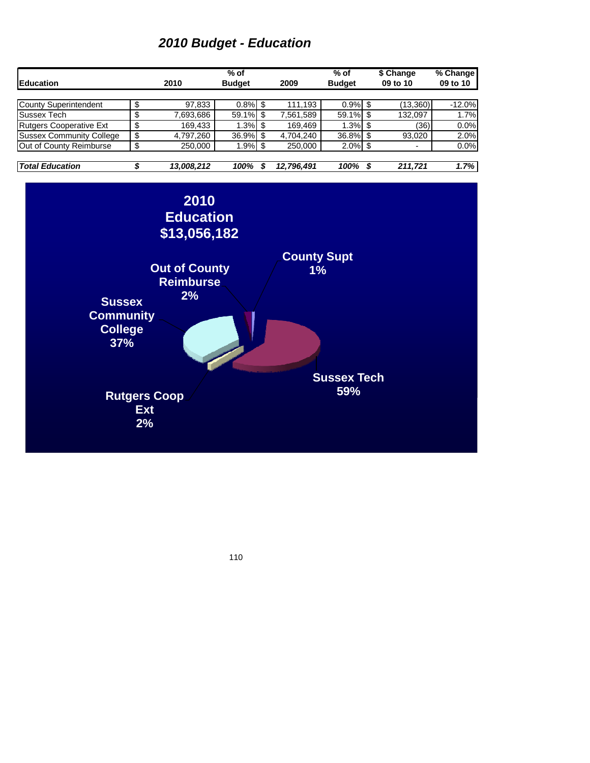#### *2010 Budget - Education*

| <b>IEducation</b>               |    | 2010                                | $%$ of<br><b>Budget</b> |   | 2009           | $%$ of<br><b>Budget</b> |              | \$ Change<br>09 to 10 | % Change<br>09 to 10 |
|---------------------------------|----|-------------------------------------|-------------------------|---|----------------|-------------------------|--------------|-----------------------|----------------------|
|                                 |    |                                     |                         |   |                |                         |              |                       |                      |
| <b>County Superintendent</b>    | \$ | 97,833                              | $0.8\%$ \$              |   | 111.193        | $0.9\%$ \$              |              | (13,360)              | $-12.0%$             |
| Sussex Tech                     | \$ | 7,693,686                           | 59.1%                   |   | 7,561,589      | 59.1% \$                |              | 132.097               | 1.7%                 |
| <b>Rutgers Cooperative Ext</b>  | \$ | 169,433                             | $1.3\%$ \$              |   | 169.469        | $1.3\%$ \$              |              | (36)                  | 0.0%                 |
| <b>Sussex Community College</b> | \$ | 4,797,260                           | 36.9%                   |   | 4.704.240      | 36.8% \$                |              | 93,020                | 2.0%                 |
| Out of County Reimburse         | \$ | 250,000                             | $1.9\%$ \$              |   | 250,000        | $2.0\%$ \$              |              | -                     | 0.0%                 |
| $\tau$ and $\tau$ decomption    | ÷  | $\overline{10}$ and $\overline{20}$ | $\lambda$ 00 $\lambda$  | ÷ | $10.700$ $101$ | $\lambda$ 00 $\lambda$  | $\mathbf{r}$ | $0.44$ TO $4$         | $1 - n$              |



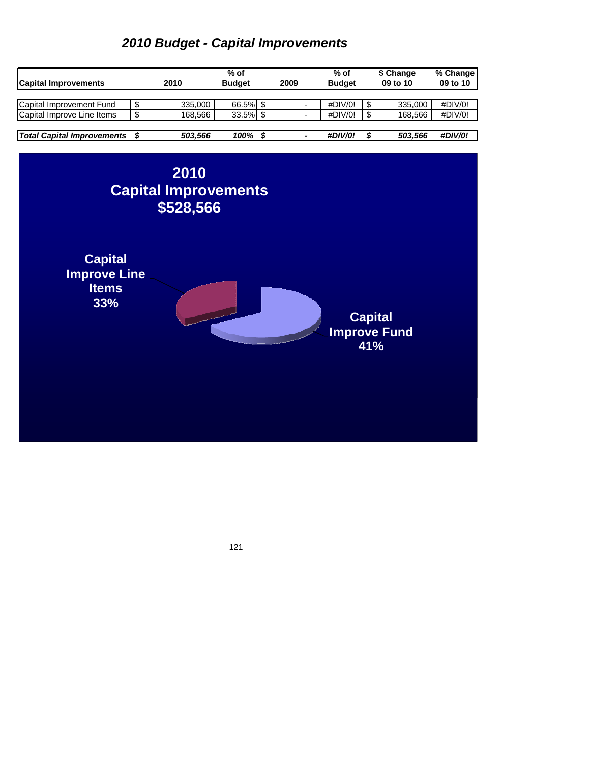### *2010 Budget - Capital Improvements*

| <b>Capital Improvements</b>       |    | 2010    | % of<br><b>Budget</b> | 2009 | $%$ of<br><b>Budget</b> | \$ Change<br>09 to 10 | % Change<br>09 to 10 |
|-----------------------------------|----|---------|-----------------------|------|-------------------------|-----------------------|----------------------|
|                                   |    |         |                       |      |                         |                       |                      |
| Capital Improvement Fund          |    | 335.000 | 66.5% \$              |      | #DIV/0!                 | 335,000               | #DIV/0!              |
| Capital Improve Line Items        | ۰D | 168.566 | 33.5%                 |      | #DIV/0!                 | 168.566               | #DIV/0!              |
|                                   |    |         |                       |      |                         |                       |                      |
| <b>Total Capital Improvements</b> |    | 503,566 | 100%                  |      | <b>#DIV/0!</b>          | 503.566               | <b>#DIV/0!</b>       |

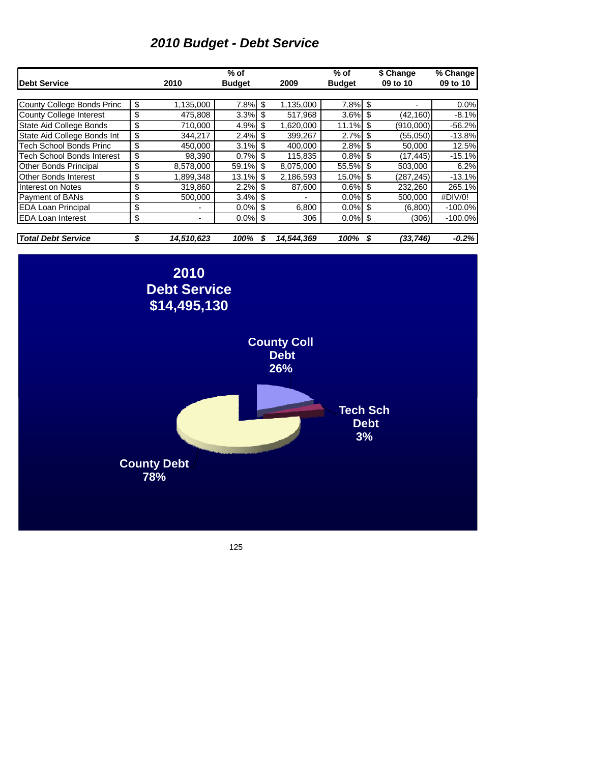### *2010 Budget - Debt Service*

|                                   |                  | $%$ of        |     |            | $%$ of        |      | \$ Change | % Change   |
|-----------------------------------|------------------|---------------|-----|------------|---------------|------|-----------|------------|
| <b>Debt Service</b>               | 2010             | <b>Budget</b> |     | 2009       | <b>Budget</b> |      | 09 to 10  | 09 to 10   |
|                                   |                  |               |     |            |               |      |           |            |
| County College Bonds Princ        | \$<br>1,135,000  | 7.8%          | \$  | 1,135,000  | $7.8\%$ \$    |      |           | 0.0%       |
| <b>County College Interest</b>    | \$<br>475.808    | 3.3%          | S   | 517.968    | 3.6%          | \$   | (42,160)  | $-8.1%$    |
| <b>State Aid College Bonds</b>    | \$<br>710.000    | 4.9%          | \$  | 1,620,000  | 11.1%         | \$   | (910,000) | $-56.2%$   |
| State Aid College Bonds Int       | \$<br>344,217    | 2.4%          | \$. | 399,267    | 2.7%          | - \$ | (55,050)  | $-13.8%$   |
| <b>Tech School Bonds Princ</b>    | \$<br>450,000    | 3.1%          | \$. | 400,000    | 2.8%          | \$   | 50,000    | 12.5%      |
| <b>Tech School Bonds Interest</b> | \$<br>98,390     | 0.7%          | \$  | 115,835    | 0.8%          | S    | (17, 445) | $-15.1%$   |
| <b>Other Bonds Principal</b>      | \$<br>8.578.000  | 59.1%         | \$  | 8,075,000  | 55.5% \$      |      | 503.000   | 6.2%       |
| <b>Other Bonds Interest</b>       | \$<br>1.899.348  | 13.1%         | \$  | 2,186,593  | 15.0%         | \$   | (287.245) | $-13.1%$   |
| Interest on Notes                 | \$<br>319.860    | 2.2%          | \$  | 87,600     | 0.6%          | \$   | 232.260   | 265.1%     |
| Payment of BANs                   | \$<br>500,000    | 3.4%          | S   |            | 0.0%          | \$   | 500,000   | #DIV/0!    |
| <b>EDA Loan Principal</b>         | \$               | 0.0%          | \$  | 6,800      | 0.0%          | -\$  | (6,800)   | $-100.0\%$ |
| <b>EDA Loan Interest</b>          | \$               | $0.0\%$ \$    |     | 306        | $0.0\%$ \$    |      | (306)     | $-100.0%$  |
|                                   |                  |               |     |            |               |      |           |            |
| <b>Total Debt Service</b>         | \$<br>14,510,623 | 100%          | S   | 14.544.369 | 100%          | \$   | (33,746)  | $-0.2\%$   |

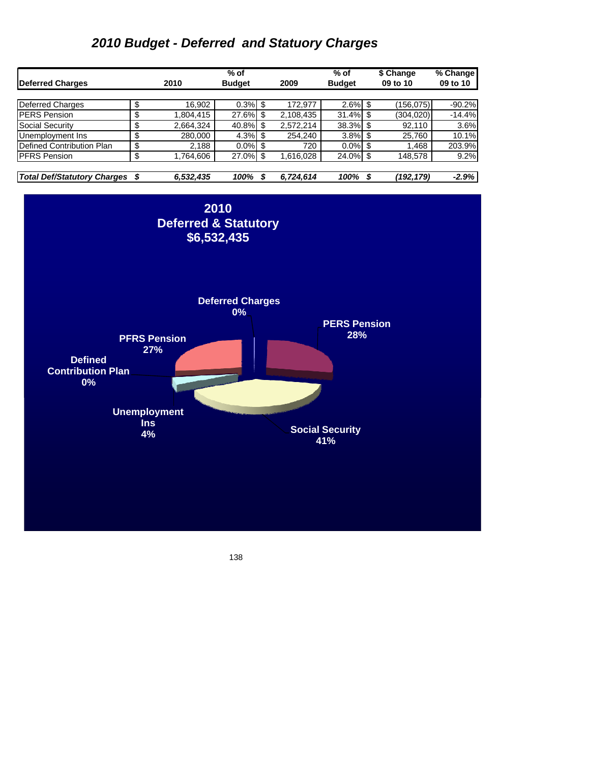### *2010 Budget - Deferred and Statuory Charges*

|                                    |                 | $%$ of        |  |           | $%$ of        |  | \$ Change  | % Change |  |
|------------------------------------|-----------------|---------------|--|-----------|---------------|--|------------|----------|--|
| Deferred Charges                   | 2010            | <b>Budget</b> |  | 2009      | <b>Budget</b> |  | 09 to 10   | 09 to 10 |  |
|                                    |                 |               |  |           |               |  |            |          |  |
| Deferred Charges                   | \$<br>16,902    | $0.3\%$ \$    |  | 172.977   | $2.6\%$ \$    |  | (156, 075) | $-90.2%$ |  |
| <b>PERS Pension</b>                | \$<br>1,804,415 | 27.6%         |  | 2,108,435 | 31.4%         |  | (304, 020) | $-14.4%$ |  |
| <b>Social Security</b>             | \$<br>2.664.324 | 40.8%         |  | 2.572.214 | 38.3% \$      |  | 92.110     | 3.6%     |  |
| Unemployment Ins                   | \$<br>280,000   | $4.3\%$ \$    |  | 254.240   | 3.8%          |  | 25,760     | 10.1%    |  |
| Defined Contribution Plan          | \$<br>2,188     | $0.0\%$ \$    |  | 720       | $0.0\%$       |  | 1,468      | 203.9%   |  |
| <b>PFRS Pension</b>                | \$<br>1,764,606 | 27.0% \$      |  | 1,616,028 | 24.0% \$      |  | 148,578    | 9.2%     |  |
|                                    |                 |               |  |           |               |  |            |          |  |
| <b>Total Def/Statutory Charges</b> | 6,532,435       | 100%          |  | 6,724,614 | 100%          |  | (192,179)  | $-2.9%$  |  |